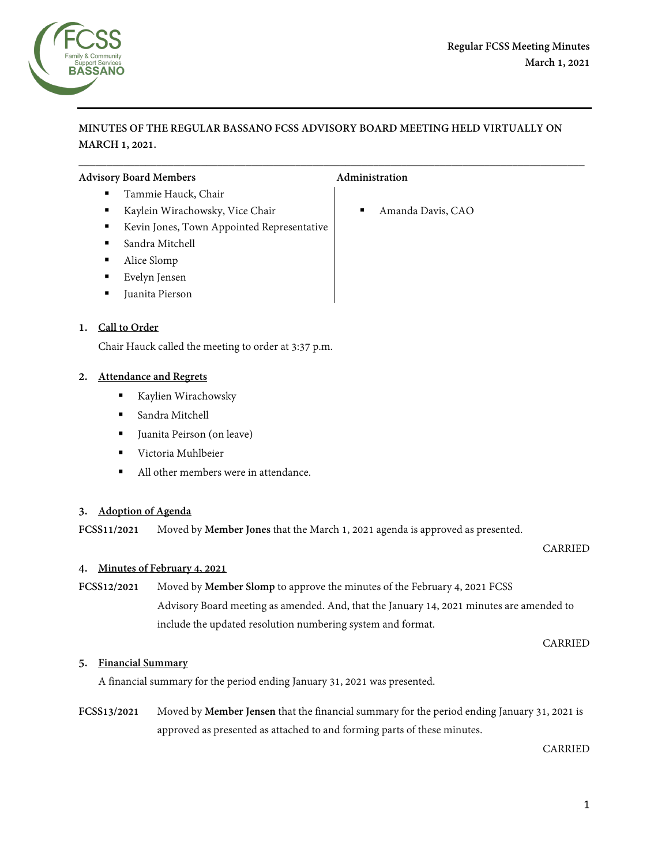

# **MINUTES OF THE REGULAR BASSANO FCSS ADVISORY BOARD MEETING HELD VIRTUALLY ON MARCH 1, 2021.**

 $\overline{\phantom{a}}$  , and the contribution of the contribution of the contribution of the contribution of the contribution of the contribution of the contribution of the contribution of the contribution of the contribution of the

### Advisory Board Members **Administration Administration**

- Tammie Hauck, Chair
- Kaylein Wirachowsky, Vice Chair Amanda Davis, CAO
- Kevin Jones, Town Appointed Representative
- Sandra Mitchell
- Alice Slomp
- Evelyn Jensen
- Juanita Pierson

# **1. Call to Order**

Chair Hauck called the meeting to order at 3:37 p.m.

# **2. Attendance and Regrets**

- Kaylien Wirachowsky
- Sandra Mitchell
- Juanita Peirson (on leave)
- Victoria Muhlbeier
- All other members were in attendance

# **3. Adoption of Agenda**

**FCSS11/2021** Moved by **Member Jones** that the March 1, 2021 agenda is approved as presented.

#### CARRIED

#### **4. Minutes of February 4, 2021**

# **FCSS12/2021** Moved by **Member Slomp** to approve the minutes of the February 4, 2021 FCSS

Advisory Board meeting as amended. And, that the January 14, 2021 minutes are amended to include the updated resolution numbering system and format.

CARRIED

#### **5. Financial Summary**

A financial summary for the period ending January 31, 2021 was presented.

**FCSS13/2021** Moved by **Member Jensen** that the financial summary for the period ending January 31, 2021 is approved as presented as attached to and forming parts of these minutes.

CARRIED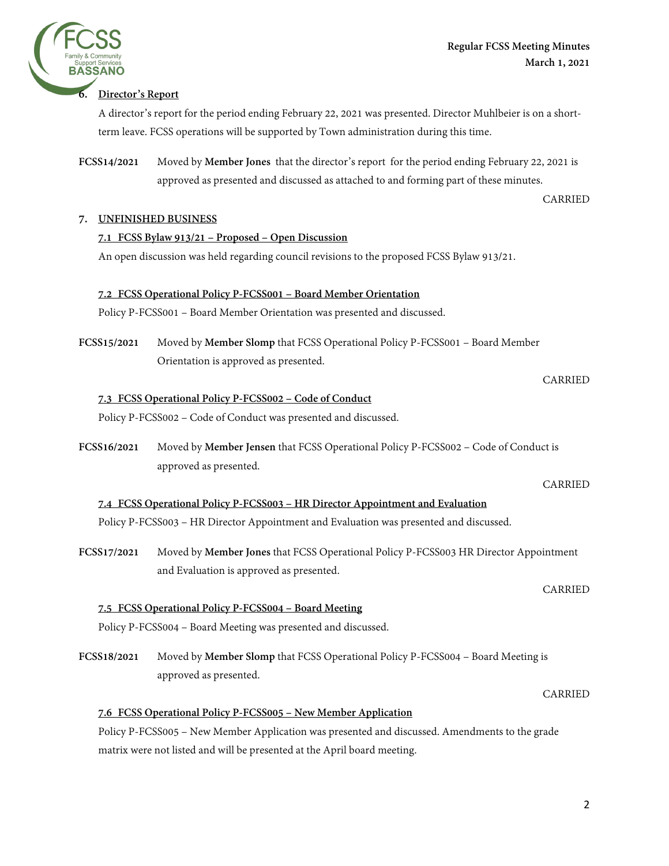

A director's report for the period ending February 22, 2021 was presented. Director Muhlbeier is on a shortterm leave. FCSS operations will be supported by Town administration during this time.

**FCSS14/2021** Moved by **Member Jones** that the director's report for the period ending February 22, 2021 is approved as presented and discussed as attached to and forming part of these minutes.

CARRIED

# **7. UNFINISHED BUSINESS**

# **7.1 FCSS Bylaw 913/21 – Proposed – Open Discussion**

An open discussion was held regarding council revisions to the proposed FCSS Bylaw 913/21.

# **7.2 FCSS Operational Policy P-FCSS001 – Board Member Orientation**

Policy P-FCSS001 – Board Member Orientation was presented and discussed.

**FCSS15/2021** Moved by **Member Slomp** that FCSS Operational Policy P-FCSS001 – Board Member Orientation is approved as presented.

# **7.3 FCSS Operational Policy P-FCSS002 – Code of Conduct**

Policy P-FCSS002 – Code of Conduct was presented and discussed.

**FCSS16/2021** Moved by **Member Jensen** that FCSS Operational Policy P-FCSS002 – Code of Conduct is approved as presented.

CARRIED

CARRIED

CARRIED

# **7.4 FCSS Operational Policy P-FCSS003 – HR Director Appointment and Evaluation**

Policy P-FCSS003 – HR Director Appointment and Evaluation was presented and discussed.

**FCSS17/2021** Moved by **Member Jones** that FCSS Operational Policy P-FCSS003 HR Director Appointment and Evaluation is approved as presented.

# **7.5 FCSS Operational Policy P-FCSS004 – Board Meeting**

Policy P-FCSS004 – Board Meeting was presented and discussed.

**FCSS18/2021** Moved by **Member Slomp** that FCSS Operational Policy P-FCSS004 – Board Meeting is approved as presented.

CARRIED **7.6 FCSS Operational Policy P-FCSS005 – New Member Application** 

Policy P-FCSS005 – New Member Application was presented and discussed. Amendments to the grade matrix were not listed and will be presented at the April board meeting.